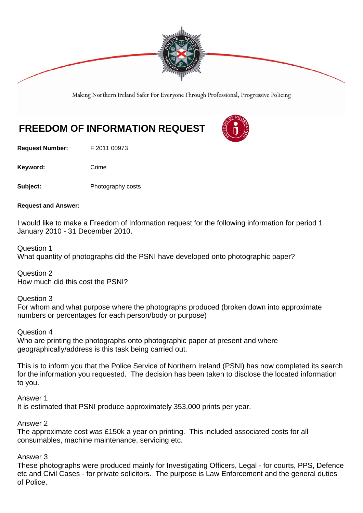

Making Northern Ireland Safer For Everyone Through Professional, Progressive Policing

## **FREEDOM OF INFORMATION REQUEST**

**Request Number:** F 2011 00973

Keyword: Crime

**Subject:** Photography costs

**Request and Answer:** 

I would like to make a Freedom of Information request for the following information for period 1 January 2010 - 31 December 2010.

Question 1

What quantity of photographs did the PSNI have developed onto photographic paper?

Question 2 How much did this cost the PSNI?

Question 3

For whom and what purpose where the photographs produced (broken down into approximate numbers or percentages for each person/body or purpose)

Question 4

Who are printing the photographs onto photographic paper at present and where geographically/address is this task being carried out.

This is to inform you that the Police Service of Northern Ireland (PSNI) has now completed its search for the information you requested. The decision has been taken to disclose the located information to you.

Answer 1

It is estimated that PSNI produce approximately 353,000 prints per year.

Answer 2

The approximate cost was £150k a year on printing. This included associated costs for all consumables, machine maintenance, servicing etc.

## Answer 3

These photographs were produced mainly for Investigating Officers, Legal - for courts, PPS, Defence etc and Civil Cases - for private solicitors. The purpose is Law Enforcement and the general duties of Police.